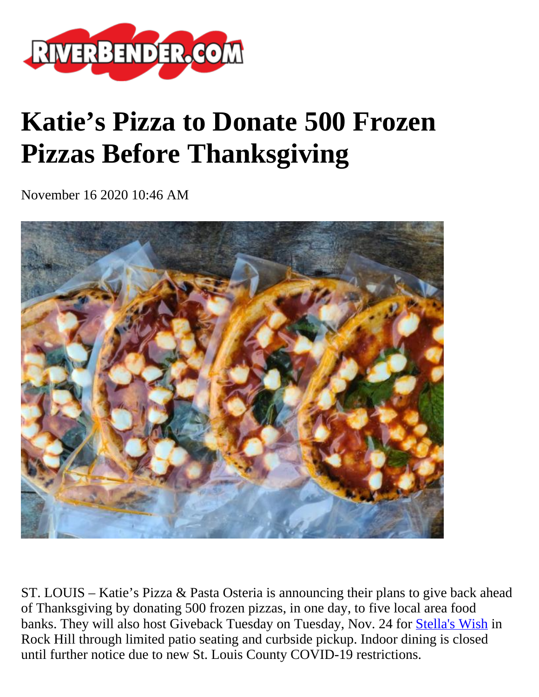

## **Katie's Pizza to Donate 500 Frozen Pizzas Before Thanksgiving**

November 16 2020 10:46 AM



ST. LOUIS – Katie's Pizza & Pasta Osteria is announcing their plans to give back ahead of Thanksgiving by donating 500 frozen pizzas, in one day, to five local area food banks. They will also host Giveback Tuesday on Tuesday, Nov. 24 for [Stella's Wish](https://www.stellaswish.org/) in Rock Hill through limited patio seating and curbside pickup. Indoor dining is closed until further notice due to new St. Louis County COVID-19 restrictions.